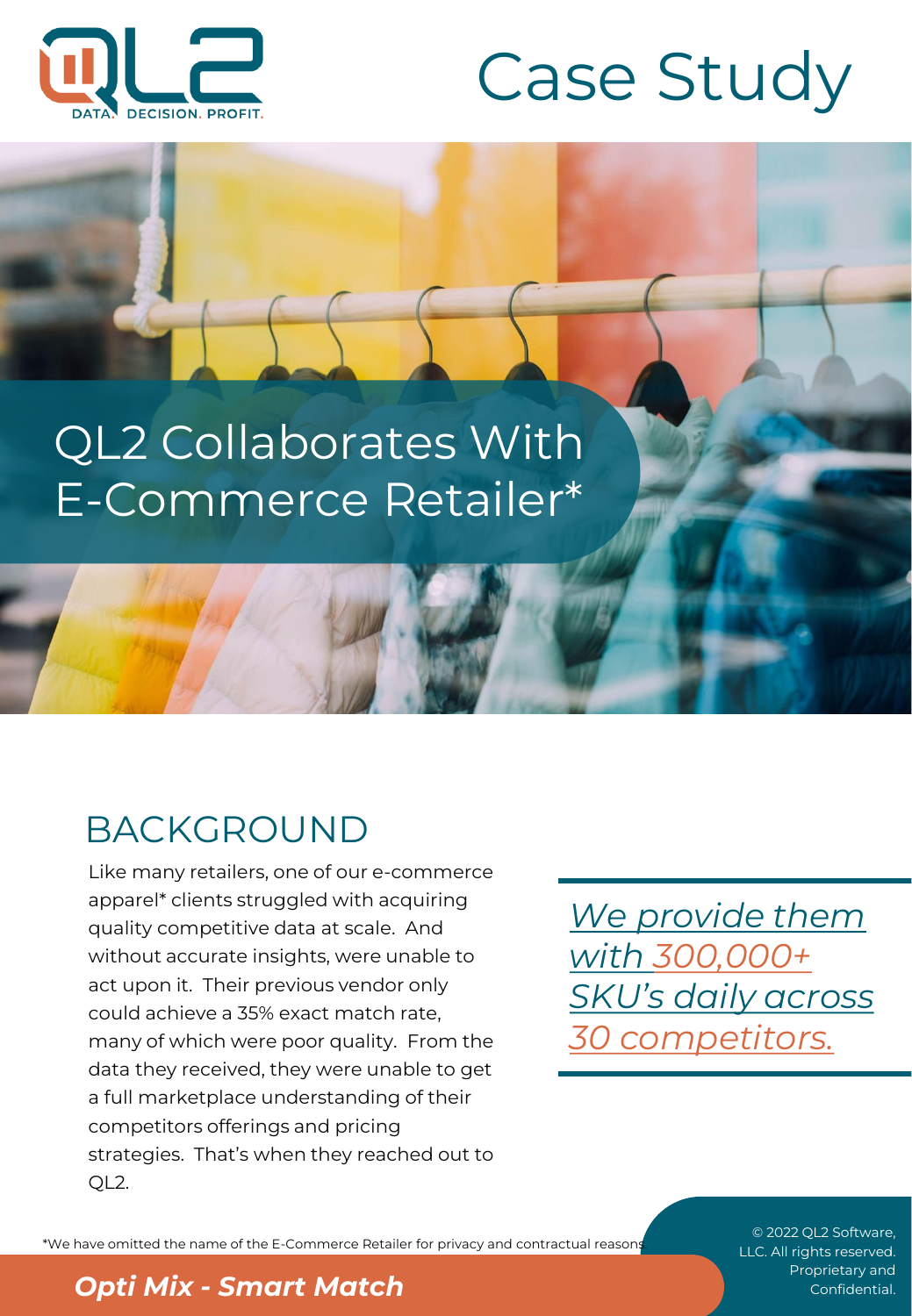



# QL2 Collaborates With E-Commerce Retailer\*

## BACKGROUND

Like many retailers, one of our e-commerce apparel\* clients struggled with acquiring quality competitive data at scale. And without accurate insights, were unable to act upon it. Their previous vendor only could achieve a 35% exact match rate, many of which were poor quality. From the data they received, they were unable to get a full marketplace understanding of their competitors offerings and pricing strategies. That's when they reached out to QL2.

*We provide them with 300,000+ SKU's daily across 30 competitors.*

\*We have omitted the name of the E-Commerce Retailer for privacy and contractual reasons.

© 2022 QL2 Software, LLC. All rights reserved.

#### **Proprietary and <b>Opti Mix - Smart Match** Confidential.